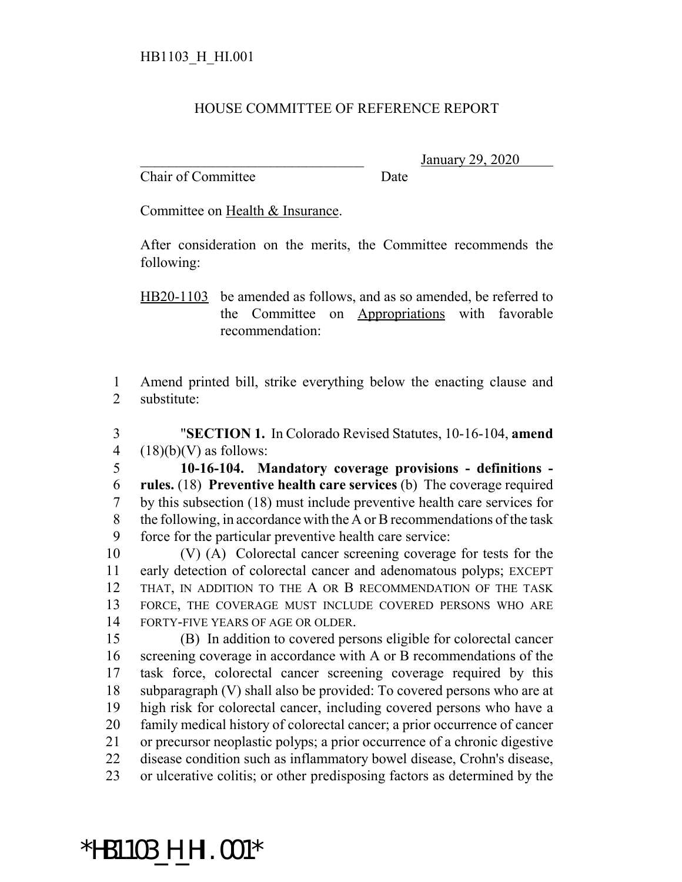## HOUSE COMMITTEE OF REFERENCE REPORT

Chair of Committee Date

\_\_\_\_\_\_\_\_\_\_\_\_\_\_\_\_\_\_\_\_\_\_\_\_\_\_\_\_\_\_\_ January 29, 2020

Committee on Health & Insurance.

After consideration on the merits, the Committee recommends the following:

HB20-1103 be amended as follows, and as so amended, be referred to the Committee on Appropriations with favorable recommendation:

 Amend printed bill, strike everything below the enacting clause and substitute:

 "**SECTION 1.** In Colorado Revised Statutes, 10-16-104, **amend** 4  $(18)(b)(V)$  as follows:

 **10-16-104. Mandatory coverage provisions - definitions - rules.** (18) **Preventive health care services** (b) The coverage required by this subsection (18) must include preventive health care services for the following, in accordance with the A or B recommendations of the task force for the particular preventive health care service:

 (V) (A) Colorectal cancer screening coverage for tests for the early detection of colorectal cancer and adenomatous polyps; EXCEPT 12 THAT, IN ADDITION TO THE A OR B RECOMMENDATION OF THE TASK FORCE, THE COVERAGE MUST INCLUDE COVERED PERSONS WHO ARE FORTY-FIVE YEARS OF AGE OR OLDER.

 (B) In addition to covered persons eligible for colorectal cancer screening coverage in accordance with A or B recommendations of the task force, colorectal cancer screening coverage required by this subparagraph (V) shall also be provided: To covered persons who are at high risk for colorectal cancer, including covered persons who have a family medical history of colorectal cancer; a prior occurrence of cancer or precursor neoplastic polyps; a prior occurrence of a chronic digestive disease condition such as inflammatory bowel disease, Crohn's disease, or ulcerative colitis; or other predisposing factors as determined by the

## \*HB1103\_H\_HI.001\*